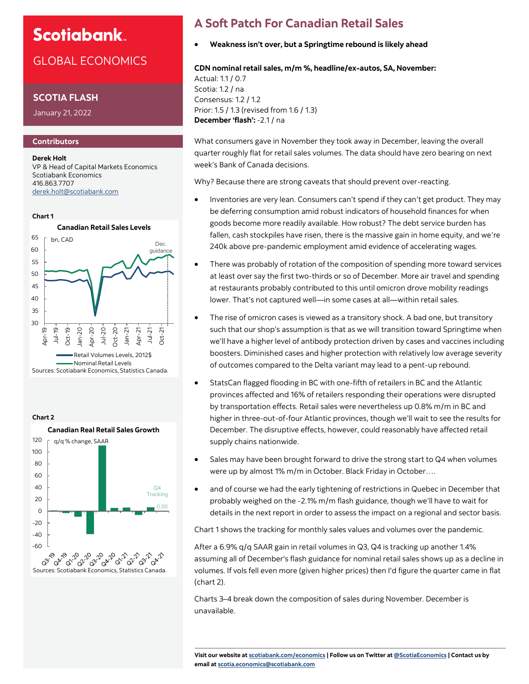# **Scotiabank**

## GLOBAL ECONOMICS

### **SCOTIA FLASH**

January 21, 2022

### **Contributors**

**Derek Holt** VP & Head of Capital Markets Economics Scotiabank Economics 416.863.7707 [derek.holt@scotiabank.com](mailto:derek.holt@scotiabank.com)







## **A Soft Patch For Canadian Retail Sales**

• **Weakness isn't over, but a Springtime rebound is likely ahead**

#### **CDN nominal retail sales, m/m %, headline/ex-autos, SA, November:**

Actual: 1.1 / 0.7 Scotia: 1.2 / na Consensus: 1.2 / 1.2 Prior: 1.5 / 1.3 (revised from 1.6 / 1.3) **December 'flash':** -2.1 / na

What consumers gave in November they took away in December, leaving the overall quarter roughly flat for retail sales volumes. The data should have zero bearing on next week's Bank of Canada decisions.

Why? Because there are strong caveats that should prevent over-reacting.

- Inventories are very lean. Consumers can't spend if they can't get product. They may be deferring consumption amid robust indicators of household finances for when goods become more readily available. How robust? The debt service burden has fallen, cash stockpiles have risen, there is the massive gain in home equity, and we're 240k above pre-pandemic employment amid evidence of accelerating wages.
- There was probably of rotation of the composition of spending more toward services at least over say the first two-thirds or so of December. More air travel and spending at restaurants probably contributed to this until omicron drove mobility readings lower. That's not captured well—in some cases at all—within retail sales.
- The rise of omicron cases is viewed as a transitory shock. A bad one, but transitory such that our shop's assumption is that as we will transition toward Springtime when we'll have a higher level of antibody protection driven by cases and vaccines including boosters. Diminished cases and higher protection with relatively low average severity of outcomes compared to the Delta variant may lead to a pent-up rebound.
- StatsCan flagged flooding in BC with one-fifth of retailers in BC and the Atlantic provinces affected and 16% of retailers responding their operations were disrupted by transportation effects. Retail sales were nevertheless up 0.8% m/m in BC and higher in three-out-of-four Atlantic provinces, though we'll wait to see the results for December. The disruptive effects, however, could reasonably have affected retail supply chains nationwide.
- Sales may have been brought forward to drive the strong start to Q4 when volumes were up by almost 1% m/m in October. Black Friday in October….
- and of course we had the early tightening of restrictions in Quebec in December that probably weighed on the -2.1% m/m flash guidance, though we'll have to wait for details in the next report in order to assess the impact on a regional and sector basis.

Chart 1 shows the tracking for monthly sales values and volumes over the pandemic.

After a 6.9% q/q SAAR gain in retail volumes in Q3, Q4 is tracking up another 1.4% assuming all of December's flash guidance for nominal retail sales shows up as a decline in volumes. If vols fell even more (given higher prices) then I'd figure the quarter came in flat (chart 2).

Charts 3–4 break down the composition of sales during November. December is unavailable.

**Visit our website at [scotiabank.com/economics](https://www.scotiabank.com/ca/en/about/global-economics/economics-publications.html) | Follow us on Twitter at [@ScotiaEconomics](https://twitter.com/ScotiaEconomics) | Contact us by email at scotia.economics@scotiabank.com**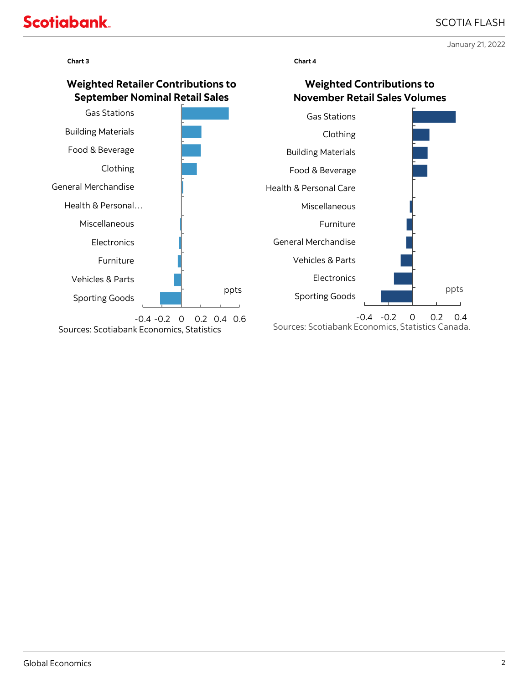# **Scotiabank**

January 21, 2022